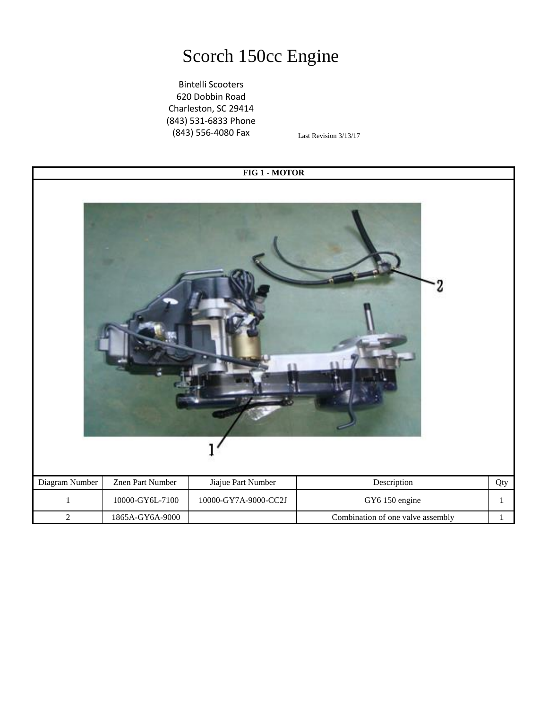## Scorch 150cc Engine

Bintelli Scooters 620 Dobbin Road Charleston, SC 29414 (843) 531-6833 Phone (843) 556-4080 Fax

Last Revision 3/13/17

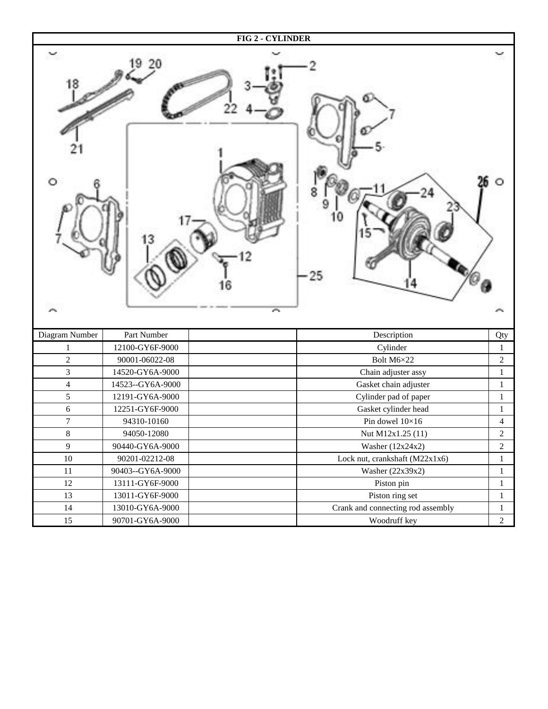|                  |                  | <b>FIG 2 - CYLINDER</b>           |                |
|------------------|------------------|-----------------------------------|----------------|
|                  |                  | A                                 |                |
|                  | Part Number      |                                   |                |
| Diagram Number   | 12100-GY6F-9000  | Description                       | Qty            |
| 1                |                  | Cylinder                          | $\mathbf{1}$   |
| $\overline{c}$   | 90001-06022-08   | Bolt M6×22                        | $\overline{c}$ |
| 3                | 14520-GY6A-9000  | Chain adjuster assy               | $\mathbf{1}$   |
| $\overline{4}$   | 14523--GY6A-9000 | Gasket chain adjuster             | $\mathbf{1}$   |
| 5                | 12191-GY6A-9000  | Cylinder pad of paper             | $\mathbf{1}$   |
| $\sqrt{6}$       | 12251-GY6F-9000  | Gasket cylinder head              | $\mathbf{1}$   |
| $\boldsymbol{7}$ | 94310-10160      | Pin dowel $10\times16$            | $\overline{4}$ |
| $8\,$            | 94050-12080      | Nut M12x1.25 (11)                 | $\sqrt{2}$     |
| 9                | 90440-GY6A-9000  | Washer (12x24x2)                  | $\overline{2}$ |
| $10\,$           | 90201-02212-08   | Lock nut, crankshaft (M22x1x6)    | $\mathbf{1}$   |
| 11               | 90403--GY6A-9000 | Washer (22x39x2)                  | $\mathbf{1}$   |
| 12               | 13111-GY6F-9000  | Piston pin                        | $\mathbf{1}$   |
| 13               | 13011-GY6F-9000  | Piston ring set                   | $\mathbf{1}$   |
| 14               | 13010-GY6A-9000  | Crank and connecting rod assembly | $\mathbf{1}$   |
| 15               | 90701-GY6A-9000  | Woodruff key                      | $\sqrt{2}$     |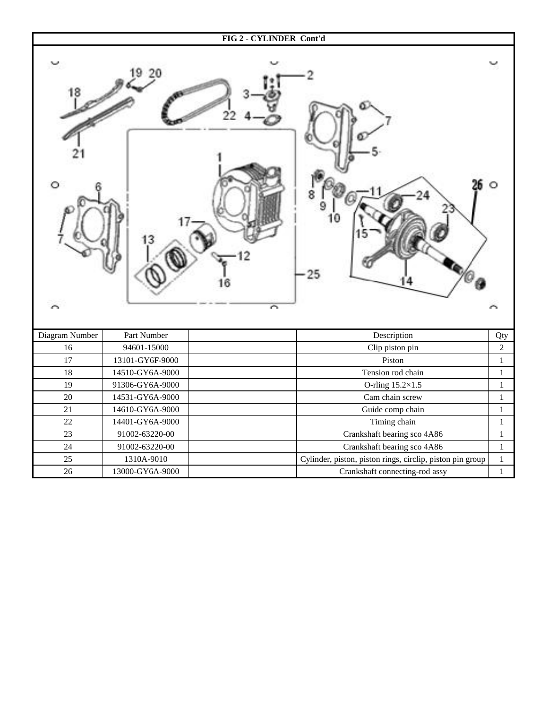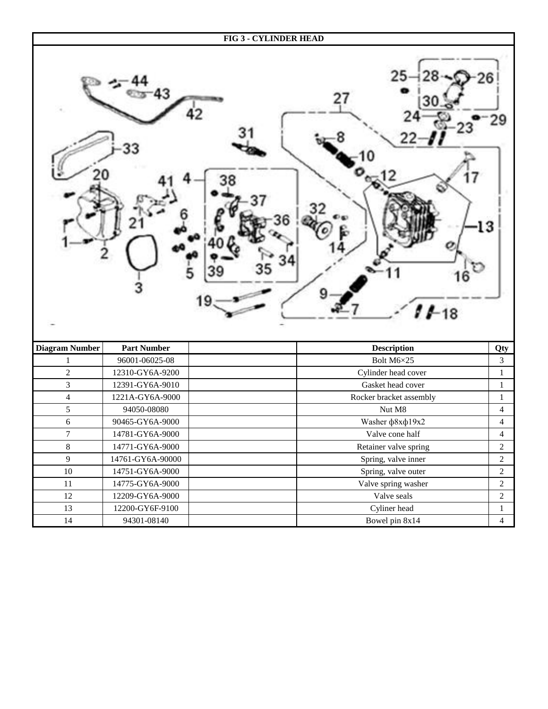|                       |                    | <b>FIG 3 - CYLINDER HEAD</b> |                         |  |  |
|-----------------------|--------------------|------------------------------|-------------------------|--|--|
| 13<br>$1 - 18$        |                    |                              |                         |  |  |
| <b>Diagram Number</b> | <b>Part Number</b> | <b>Description</b>           | Qty                     |  |  |
| $\mathbf{1}$          | 96001-06025-08     | Bolt M6×25                   | $\mathfrak{Z}$          |  |  |
| $\sqrt{2}$            | 12310-GY6A-9200    | Cylinder head cover          | $\mathbf{1}$            |  |  |
| $\overline{3}$        | 12391-GY6A-9010    | Gasket head cover            | $\mathbf{1}$            |  |  |
| $\overline{4}$        | 1221A-GY6A-9000    | Rocker bracket assembly      | $\mathbf{1}$            |  |  |
| $\mathfrak{S}$        | 94050-08080        | Nut M8                       | $\overline{\mathbf{4}}$ |  |  |
| $\sqrt{6}$            | 90465-GY6A-9000    | Washer $\phi$ 8x $\phi$ 19x2 | $\overline{4}$          |  |  |
| $\boldsymbol{7}$      | 14781-GY6A-9000    | Valve cone half              | 4                       |  |  |
| $\,8\,$               | 14771-GY6A-9000    | Retainer valve spring        | $\overline{2}$          |  |  |
| 9                     | 14761-GY6A-90000   | Spring, valve inner          | $\overline{c}$          |  |  |
| $10\,$                | 14751-GY6A-9000    | Spring, valve outer          | $\overline{c}$          |  |  |
| $11\,$                | 14775-GY6A-9000    | Valve spring washer          | $\overline{2}$          |  |  |
| 12                    | 12209-GY6A-9000    | Valve seals                  | $\overline{c}$          |  |  |
| 13                    | 12200-GY6F-9100    | Cyliner head                 | $\mathbf{1}$            |  |  |
| 14                    | 94301-08140        | Bowel pin 8x14               | $\overline{4}$          |  |  |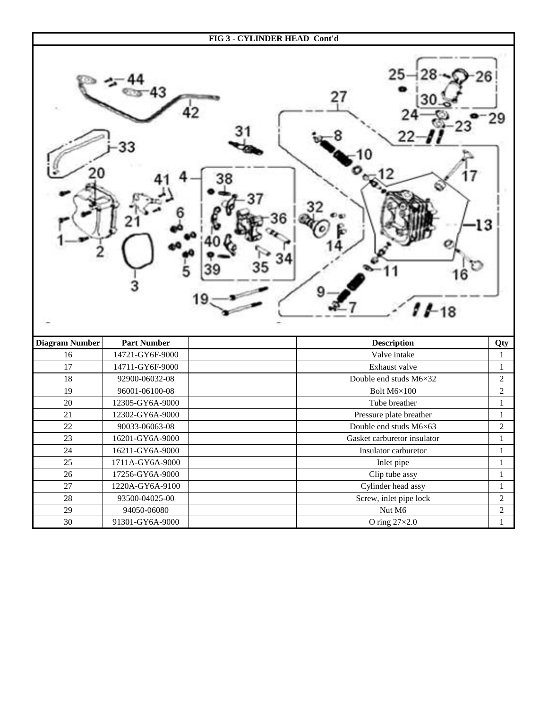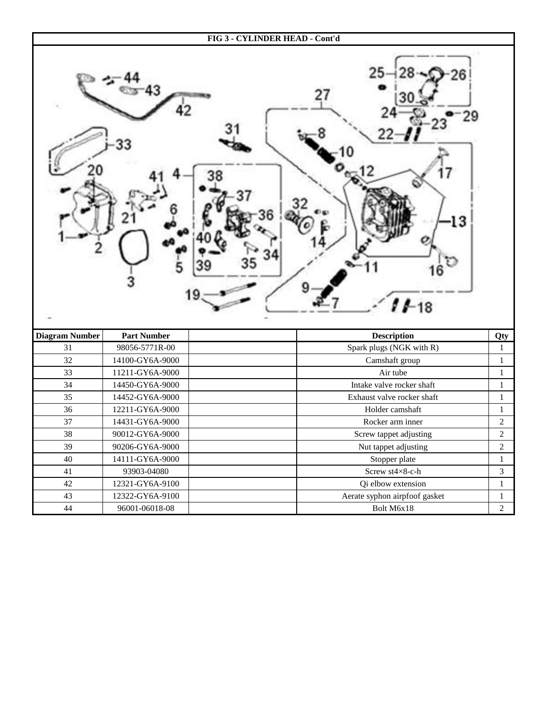

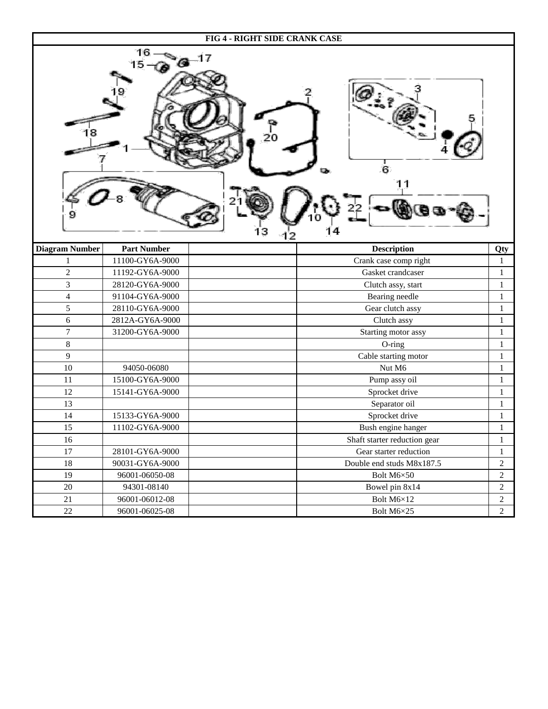| FIG 4 - RIGHT SIDE CRANK CASE   |                    |                              |                  |  |  |
|---------------------------------|--------------------|------------------------------|------------------|--|--|
| 16<br>-17<br>6<br>11<br>з<br>12 |                    |                              |                  |  |  |
| <b>Diagram Number</b>           | <b>Part Number</b> | <b>Description</b>           | Qty              |  |  |
| $\mathbf{1}$                    | 11100-GY6A-9000    | Crank case comp right        | $\mathbf{1}$     |  |  |
| $\overline{2}$                  | 11192-GY6A-9000    | Gasket crandcaser            | $\mathbf{1}$     |  |  |
| $\overline{3}$                  | 28120-GY6A-9000    | Clutch assy, start           | $\mathbf{1}$     |  |  |
| $\overline{4}$                  | 91104-GY6A-9000    | Bearing needle               | $\mathbf{1}$     |  |  |
| 5                               | 28110-GY6A-9000    | Gear clutch assy             | $\mathbf{1}$     |  |  |
| 6                               | 2812A-GY6A-9000    | Clutch assy                  | $\mathbf{1}$     |  |  |
| $\boldsymbol{7}$                | 31200-GY6A-9000    | Starting motor assy          | $\mathbf{1}$     |  |  |
| $8\,$                           |                    | O-ring                       | $\mathbf{1}$     |  |  |
| $\mathbf{9}$                    |                    | Cable starting motor         | 1                |  |  |
| 10                              | 94050-06080        | Nut M6                       | $\mathbf{1}$     |  |  |
| 11                              | 15100-GY6A-9000    | Pump assy oil                | $\mathbf{1}$     |  |  |
| 12                              | 15141-GY6A-9000    | Sprocket drive               | $\mathbf{1}$     |  |  |
| 13                              |                    | Separator oil                | 1                |  |  |
| 14                              | 15133-GY6A-9000    | Sprocket drive               | $\mathbf{1}$     |  |  |
| 15                              | 11102-GY6A-9000    | Bush engine hanger           | $\mathbf{1}$     |  |  |
| 16                              |                    | Shaft starter reduction gear | $\mathbf{1}$     |  |  |
| $17\,$                          | 28101-GY6A-9000    | Gear starter reduction       | $\mathbf{1}$     |  |  |
| $18\,$                          | 90031-GY6A-9000    | Double end studs M8x187.5    | $\mathbf{2}$     |  |  |
| 19                              | 96001-06050-08     | Bolt M6×50                   | $\sqrt{2}$       |  |  |
| $20\,$                          | 94301-08140        | Bowel pin 8x14               | $\overline{c}$   |  |  |
| 21                              | 96001-06012-08     | Bolt M6×12                   | $\overline{c}$   |  |  |
| $22\,$                          | 96001-06025-08     | Bolt M6×25                   | $\boldsymbol{2}$ |  |  |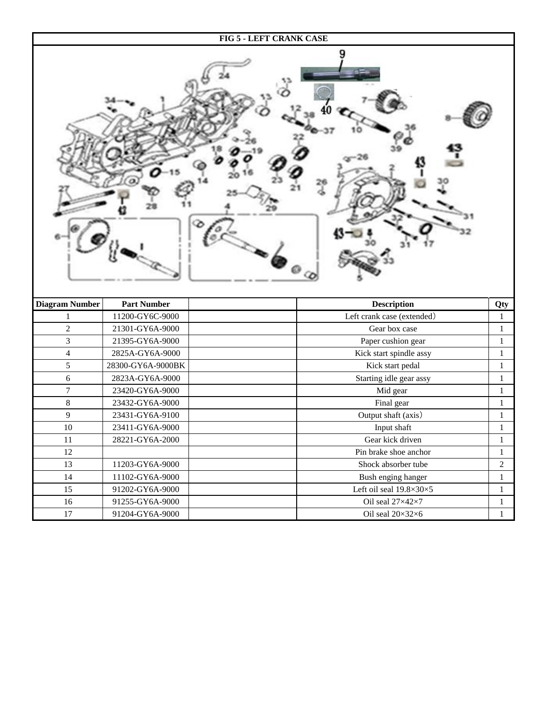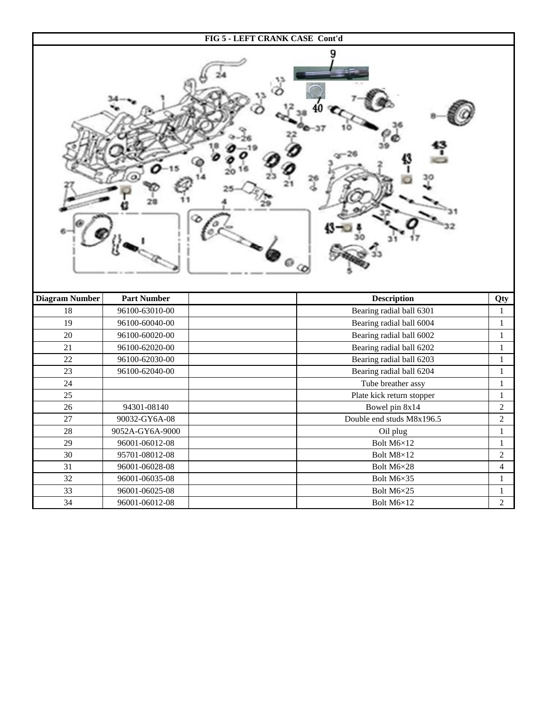

| 2 |
|---|
| 2 |
|   |
|   |
| 2 |
| 4 |
|   |
|   |
| 2 |
|   |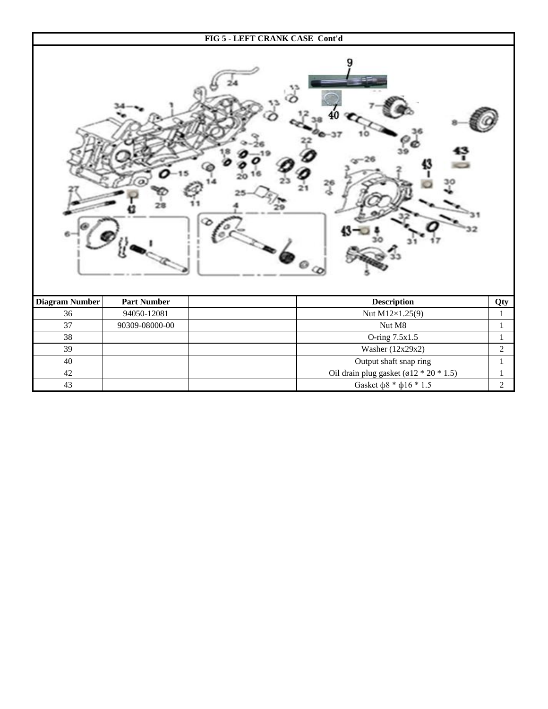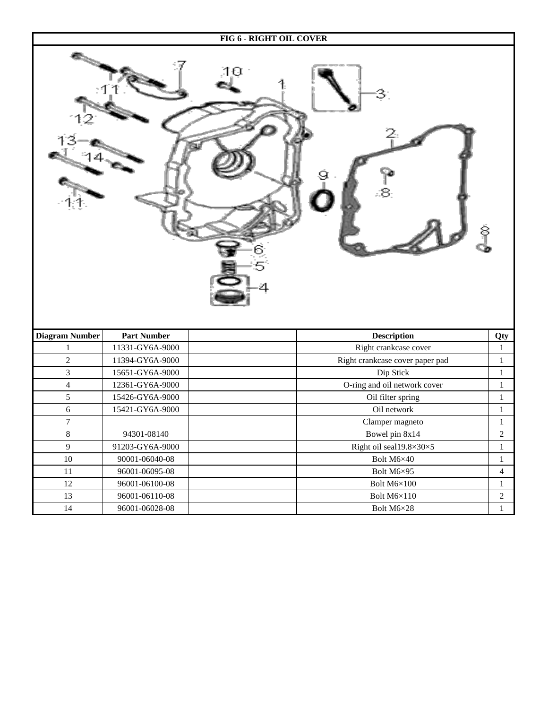| FIG 6 - RIGHT OIL COVER |                    |                                 |                  |  |  |
|-------------------------|--------------------|---------------------------------|------------------|--|--|
| 8<br>ဒု<br>5            |                    |                                 |                  |  |  |
| <b>Diagram Number</b>   | <b>Part Number</b> | <b>Description</b>              | Qty              |  |  |
| 1                       | 11331-GY6A-9000    | Right crankcase cover           | $\mathbf{1}$     |  |  |
| $\overline{2}$          | 11394-GY6A-9000    | Right crankcase cover paper pad | $\mathbf{1}$     |  |  |
| 3                       | 15651-GY6A-9000    | Dip Stick                       | $\mathbf{1}$     |  |  |
| $\overline{\mathbf{4}}$ | 12361-GY6A-9000    | O-ring and oil network cover    | $\mathbf{1}$     |  |  |
| 5                       | 15426-GY6A-9000    | Oil filter spring               | $\mathbf{1}$     |  |  |
| 6                       | 15421-GY6A-9000    | Oil network                     | $\mathbf{1}$     |  |  |
| $\boldsymbol{7}$        |                    | Clamper magneto                 | $\mathbf{1}$     |  |  |
| 8                       | 94301-08140        | Bowel pin 8x14                  | $\boldsymbol{2}$ |  |  |
| 9                       | 91203-GY6A-9000    | Right oil seal19.8×30×5         | $\mathbf{1}$     |  |  |
| $10\,$                  | 90001-06040-08     | Bolt M6×40                      | $\mathbf{1}$     |  |  |
| $11\,$                  | 96001-06095-08     | Bolt M6×95                      | $\overline{4}$   |  |  |
| 12                      | 96001-06100-08     | Bolt M6×100                     | $\mathbf{1}$     |  |  |
| $13\,$                  | 96001-06110-08     | Bolt $M6\times110$              | $\sqrt{2}$       |  |  |
| 14                      | 96001-06028-08     | Bolt M6×28                      | $\mathbf{1}$     |  |  |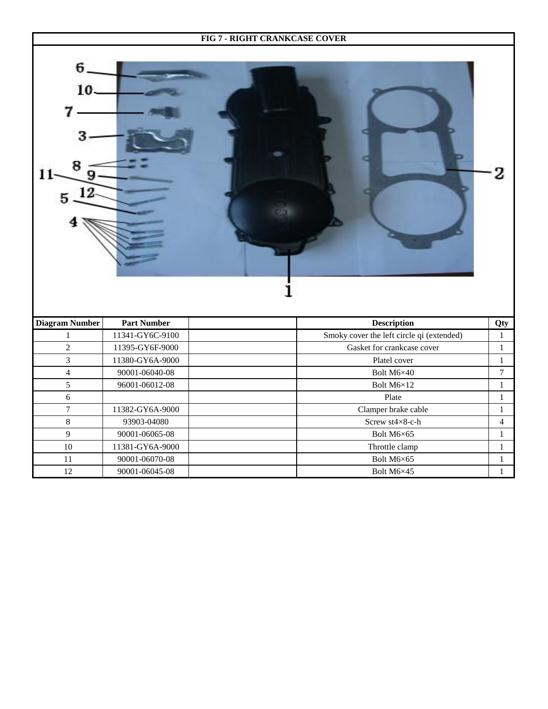|                |                    | FIG 7 - RIGHT CRANKCASE COVER             |                  |
|----------------|--------------------|-------------------------------------------|------------------|
| 6.<br>10       |                    |                                           |                  |
| Diagram Number | <b>Part Number</b> | <b>Description</b>                        | Qty              |
| $\mathbf{1}$   | 11341-GY6C-9100    | Smoky cover the left circle qi (extended) | $\mathbf{1}$     |
| $\mathbf 2$    | 11395-GY6F-9000    | Gasket for crankcase cover                | $\mathbf{1}$     |
| $\overline{3}$ | 11380-GY6A-9000    | Platel cover                              | $\mathbf{1}$     |
| $\overline{4}$ | 90001-06040-08     | Bolt M6×40                                | $\boldsymbol{7}$ |
| 5              | 96001-06012-08     | Bolt M6×12                                | $\,1\,$          |
| 6              |                    | Plate                                     | $\mathbf{1}$     |
| $\overline{7}$ | 11382-GY6A-9000    | Clamper brake cable                       | $\mathbf{1}$     |
| $\,8\,$        | 93903-04080        | Screw st4×8-c-h                           | $\overline{4}$   |

9 90001-06065-08 Bolt M6×65 Bolt M6×65 1 10 11381-GY6A-9000 Throttle clamp 1

11 90001-06070-08 Bolt M6×65 1<br>12 90001-06045-08 Bolt M6×45 1

90001-06045-08 **Bolt M6×45 1**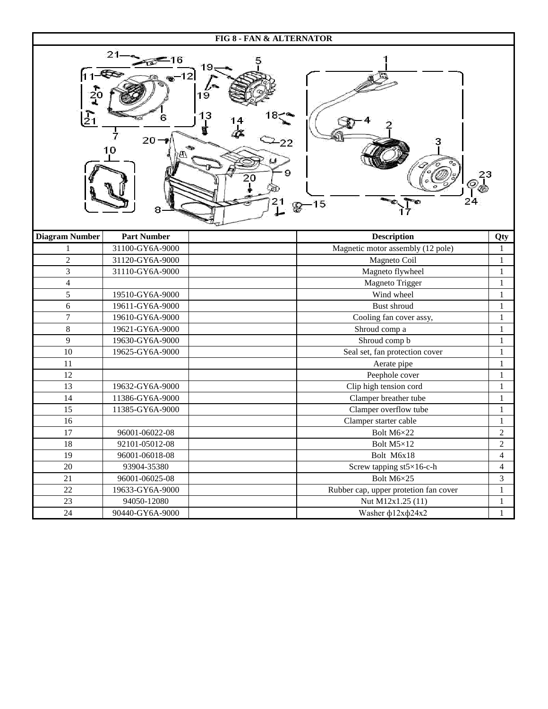| FIG 8 - FAN & ALTERNATOR                                                                         |                    |  |                                       |                |  |
|--------------------------------------------------------------------------------------------------|--------------------|--|---------------------------------------|----------------|--|
| 21<br>$11 - 1$<br>12<br>19<br>13<br>$\mathcal{E}_1$<br>20<br>-222<br>10<br>20<br>24<br>$2^{-15}$ |                    |  |                                       |                |  |
| <b>Diagram Number</b>                                                                            | <b>Part Number</b> |  | <b>Description</b>                    | Qty            |  |
| 1                                                                                                | 31100-GY6A-9000    |  | Magnetic motor assembly (12 pole)     | 1              |  |
| $\mathbf 2$                                                                                      | 31120-GY6A-9000    |  | Magneto Coil                          | $\mathbf{1}$   |  |
| $\overline{3}$                                                                                   | 31110-GY6A-9000    |  | Magneto flywheel                      | $\mathbf{1}$   |  |
| $\overline{4}$                                                                                   |                    |  | Magneto Trigger                       | 1              |  |
| 5                                                                                                | 19510-GY6A-9000    |  | Wind wheel                            | 1              |  |
| 6                                                                                                | 19611-GY6A-9000    |  | Bust shroud                           | $\mathbf{1}$   |  |
| $\boldsymbol{7}$                                                                                 | 19610-GY6A-9000    |  | Cooling fan cover assy,               | 1              |  |
| $8\,$                                                                                            | 19621-GY6A-9000    |  | Shroud comp a                         | $\mathbf{1}$   |  |
| 9                                                                                                | 19630-GY6A-9000    |  | Shroud comp b                         | 1              |  |
| 10                                                                                               | 19625-GY6A-9000    |  | Seal set, fan protection cover        | 1              |  |
| 11                                                                                               |                    |  | Aerate pipe                           | 1              |  |
| 12                                                                                               |                    |  | Peephole cover                        | 1              |  |
| 13                                                                                               | 19632-GY6A-9000    |  | Clip high tension cord                | 1              |  |
| 14                                                                                               | 11386-GY6A-9000    |  | Clamper breather tube                 | 1              |  |
| 15                                                                                               | 11385-GY6A-9000    |  | Clamper overflow tube                 | $\mathbf{1}$   |  |
| 16                                                                                               |                    |  | Clamper starter cable                 | 1              |  |
| $17\,$                                                                                           | 96001-06022-08     |  | Bolt M6×22                            | $\overline{c}$ |  |
| $18\,$                                                                                           | 92101-05012-08     |  | Bolt M5×12                            | $\sqrt{2}$     |  |
| 19                                                                                               | 96001-06018-08     |  | Bolt M6x18                            | $\overline{4}$ |  |
| $20\,$                                                                                           | 93904-35380        |  | Screw tapping st5×16-c-h              | $\overline{4}$ |  |
| 21                                                                                               | 96001-06025-08     |  | Bolt M6×25                            | 3              |  |
| $22\,$                                                                                           | 19633-GY6A-9000    |  | Rubber cap, upper protetion fan cover | $\mathbf{1}$   |  |
| 23                                                                                               | 94050-12080        |  | Nut M12x1.25 (11)                     | $\mathbf{1}$   |  |
| 24                                                                                               | 90440-GY6A-9000    |  | Washer $\phi$ 12x $\phi$ 24x2         | $\mathbf{1}$   |  |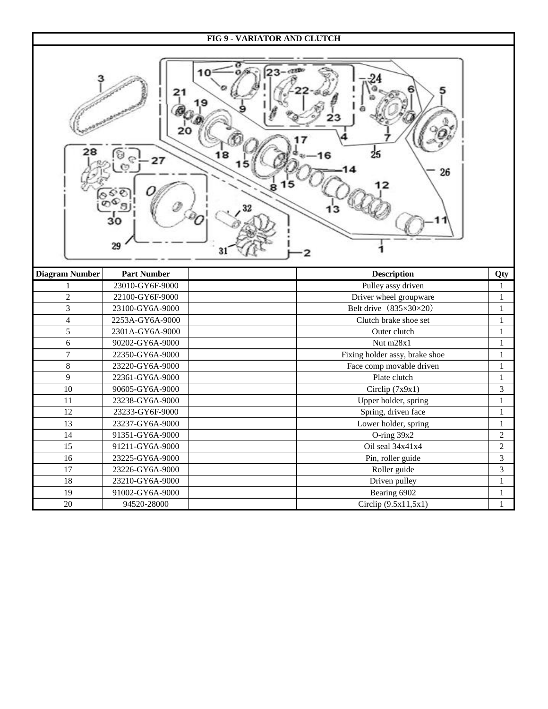